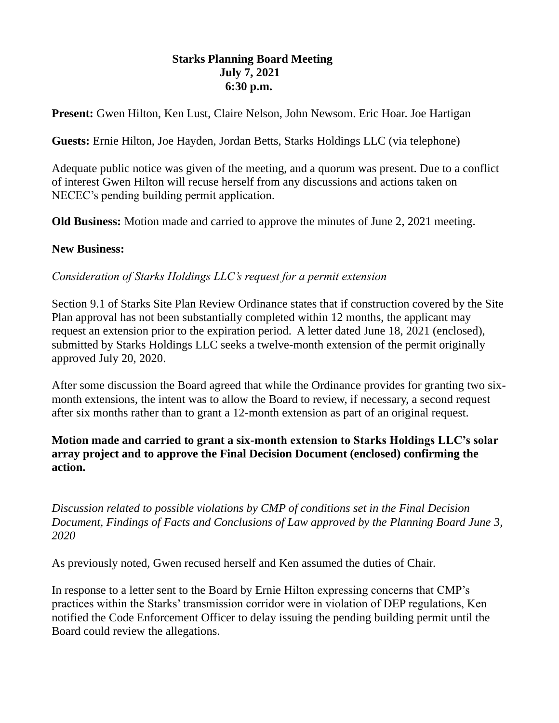## **Starks Planning Board Meeting July 7, 2021 6:30 p.m.**

**Present:** Gwen Hilton, Ken Lust, Claire Nelson, John Newsom. Eric Hoar. Joe Hartigan

**Guests:** Ernie Hilton, Joe Hayden, Jordan Betts, Starks Holdings LLC (via telephone)

Adequate public notice was given of the meeting, and a quorum was present. Due to a conflict of interest Gwen Hilton will recuse herself from any discussions and actions taken on NECEC's pending building permit application.

**Old Business:** Motion made and carried to approve the minutes of June 2, 2021 meeting.

## **New Business:**

*Consideration of Starks Holdings LLC's request for a permit extension*

Section 9.1 of Starks Site Plan Review Ordinance states that if construction covered by the Site Plan approval has not been substantially completed within 12 months, the applicant may request an extension prior to the expiration period. A letter dated June 18, 2021 (enclosed), submitted by Starks Holdings LLC seeks a twelve-month extension of the permit originally approved July 20, 2020.

After some discussion the Board agreed that while the Ordinance provides for granting two sixmonth extensions, the intent was to allow the Board to review, if necessary, a second request after six months rather than to grant a 12-month extension as part of an original request.

## **Motion made and carried to grant a six-month extension to Starks Holdings LLC's solar array project and to approve the Final Decision Document (enclosed) confirming the action.**

*Discussion related to possible violations by CMP of conditions set in the Final Decision Document, Findings of Facts and Conclusions of Law approved by the Planning Board June 3, 2020*

As previously noted, Gwen recused herself and Ken assumed the duties of Chair.

In response to a letter sent to the Board by Ernie Hilton expressing concerns that CMP's practices within the Starks' transmission corridor were in violation of DEP regulations, Ken notified the Code Enforcement Officer to delay issuing the pending building permit until the Board could review the allegations.